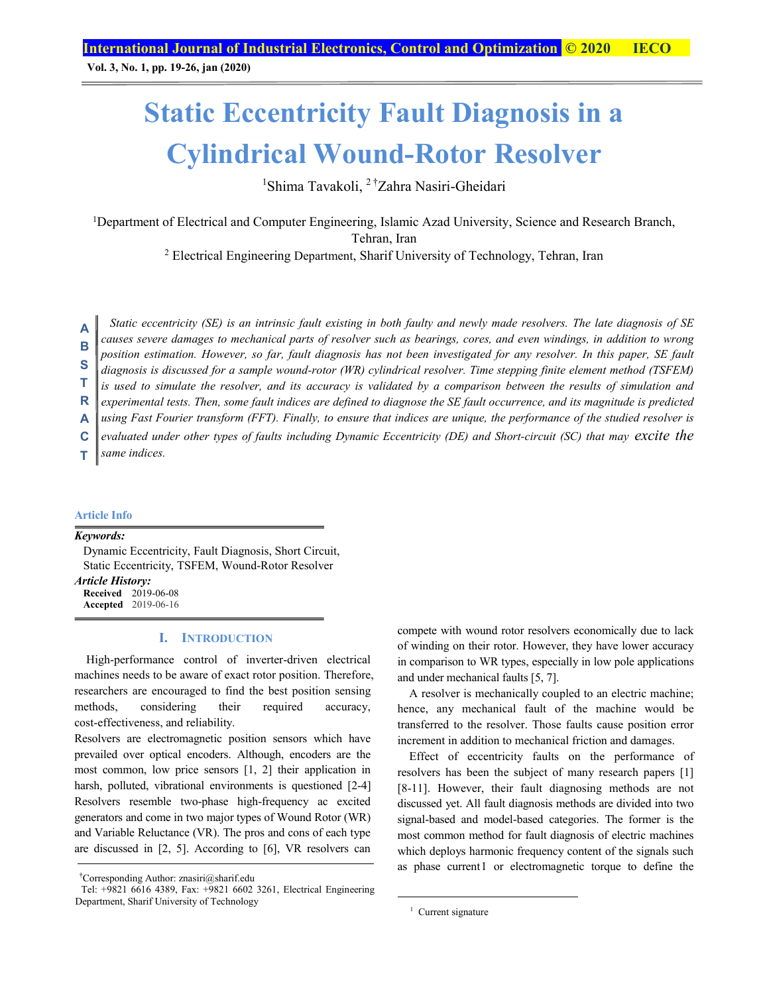**Vol. 3, No. 1, pp. 19-26, jan (2020)**

# **Static Eccentricity Fault Diagnosis in a Cylindrical Wound-Rotor Resolver**

<sup>1</sup>Shima Tavakoli, <sup>2†</sup>Zahra Nasiri-Gheidari

1Department of Electrical and Computer Engineering, Islamic Azad University, Science and Research Branch, Tehran, Iran

2 Electrical Engineering Department, Sharif University of Technology, Tehran, Iran

*Static eccentricity (SE) is an intrinsic fault existing in both faulty and newly made resolvers. The late diagnosis of SE causes severe damages to mechanical parts of resolver such as bearings, cores, and even windings, in addition to wrong position estimation. However, so far, fault diagnosis has not been investigated for any resolver. In this paper, SE fault*  **A B**

*diagnosis is discussed for a sample wound-rotor (WR) cylindrical resolver. Time stepping finite element method (TSFEM)*  **S** 

is used to simulate the resolver, and its accuracy is validated by a comparison between the results of simulation and **T** 

*experimental tests. Then, some fault indices are defined to diagnose the SE fault occurrence, and its magnitude is predicted*  **R**

*using Fast Fourier transform (FFT). Finally, to ensure that indices are unique, the performance of the studied resolver is*  **A**

*evaluated under other types of faults including Dynamic Eccentricity (DE) and Short-circuit (SC) that may excite the*  **C**

*same indices.*  **T** 

#### **Article Info**

*Keywords:* 

Dynamic Eccentricity, Fault Diagnosis, Short Circuit, Static Eccentricity, TSFEM, Wound-Rotor Resolver

*Article History:*  **Received** 2019-06-08 **Accepted** 2019-06-16

## **I. INTRODUCTION**

High-performance control of inverter-driven electrical machines needs to be aware of exact rotor position. Therefore, researchers are encouraged to find the best position sensing methods, considering their required accuracy, cost-effectiveness, and reliability.

Resolvers are electromagnetic position sensors which have prevailed over optical encoders. Although, encoders are the most common, low price sensors [1, 2] their application in harsh, polluted, vibrational environments is questioned [2-4] Resolvers resemble two-phase high-frequency ac excited generators and come in two major types of Wound Rotor (WR) and Variable Reluctance (VR). The pros and cons of each type are discussed in [2, 5]. According to [6], VR resolvers can compete with wound rotor resolvers economically due to lack of winding on their rotor. However, they have lower accuracy in comparison to WR types, especially in low pole applications and under mechanical faults [5, 7].

A resolver is mechanically coupled to an electric machine; hence, any mechanical fault of the machine would be transferred to the resolver. Those faults cause position error increment in addition to mechanical friction and damages.

Effect of eccentricity faults on the performance of resolvers has been the subject of many research papers [1] [8-11]. However, their fault diagnosing methods are not discussed yet. All fault diagnosis methods are divided into two signal-based and model-based categories. The former is the most common method for fault diagnosis of electric machines which deploys harmonic frequency content of the signals such as phase current1 or electromagnetic torque to define the

<sup>†</sup> Corresponding Author: znasiri@sharif.edu

Tel: +9821 6616 4389, Fax: +9821 6602 3261, Electrical Engineering Department, Sharif University of Technology

 $\frac{1}{1}$ <sup>1</sup> Current signature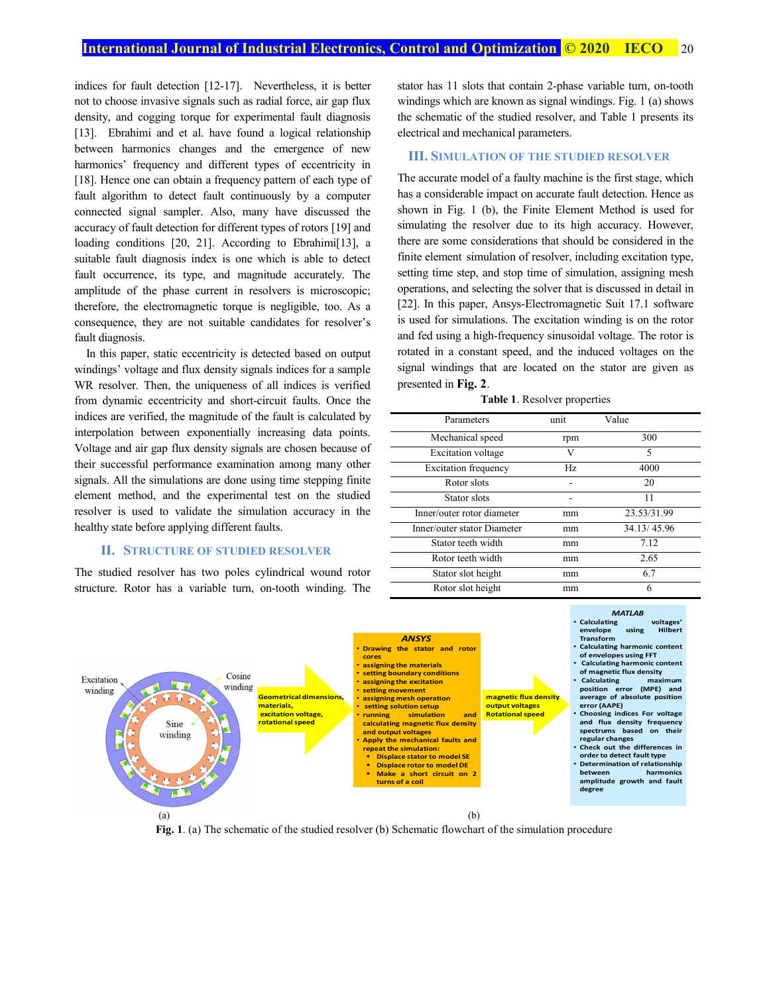indices for fault detection [12-17]. Nevertheless, it is better not to choose invasive signals such as radial force, air gap flux density, and cogging torque for experimental fault diagnosis [13]. Ebrahimi and et al. have found a logical relationship between harmonics changes and the emergence of new harmonics' frequency and different types of eccentricity in [18]. Hence one can obtain a frequency pattern of each type of fault algorithm to detect fault continuously by a computer connected signal sampler. Also, many have discussed the accuracy of fault detection for different types of rotors [19] and loading conditions [20, 21]. According to Ebrahimi<sup>[13]</sup>, a suitable fault diagnosis index is one which is able to detect fault occurrence, its type, and magnitude accurately. The amplitude of the phase current in resolvers is microscopic; therefore, the electromagnetic torque is negligible, too. As a consequence, they are not suitable candidates for resolver's fault diagnosis.

In this paper, static eccentricity is detected based on output windings' voltage and flux density signals indices for a sample WR resolver. Then, the uniqueness of all indices is verified from dynamic eccentricity and short-circuit faults. Once the indices are verified, the magnitude of the fault is calculated by interpolation between exponentially increasing data points. Voltage and air gap flux density signals are chosen because of their successful performance examination among many other signals. All the simulations are done using time stepping finite element method, and the experimental test on the studied resolver is used to validate the simulation accuracy in the healthy state before applying different faults.

## **II. STRUCTURE OF STUDIED RESOLVER**

The studied resolver has two poles cylindrical wound rotor structure. Rotor has a variable turn, on-tooth winding. The stator has 11 slots that contain 2-phase variable turn, on-tooth windings which are known as signal windings. Fig. 1 (a) shows the schematic of the studied resolver, and Table 1 presents its electrical and mechanical parameters.

## **III. SIMULATION OF THE STUDIED RESOLVER**

The accurate model of a faulty machine is the first stage, which has a considerable impact on accurate fault detection. Hence as shown in Fig. 1 (b), the Finite Element Method is used for simulating the resolver due to its high accuracy. However, there are some considerations that should be considered in the finite element simulation of resolver, including excitation type, setting time step, and stop time of simulation, assigning mesh operations, and selecting the solver that is discussed in detail in [22]. In this paper, Ansys-Electromagnetic Suit 17.1 software is used for simulations. The excitation winding is on the rotor and fed using a high-frequency sinusoidal voltage. The rotor is rotated in a constant speed, and the induced voltages on the signal windings that are located on the stator are given as presented in **Fig. 2**.

**Table 1**. Resolver properties

| Parameters                  | unit | Value       |
|-----------------------------|------|-------------|
| Mechanical speed            | rpm  | 300         |
| <b>Excitation</b> voltage   | V    | 5           |
| <b>Excitation frequency</b> | Hz.  | 4000        |
| Rotor slots                 |      | 20          |
| Stator slots                |      | 11          |
| Inner/outer rotor diameter  | mm   | 23.53/31.99 |
| Inner/outer stator Diameter | mm   | 34.13/45.96 |
| Stator teeth width          | mm   | 7.12        |
| Rotor teeth width           | mm   | 2.65        |
| Stator slot height          | mm   | 6.7         |
| Rotor slot height           | mm   | 6           |



**Fig. 1**. (a) The schematic of the studied resolver (b) Schematic flowchart of the simulation procedure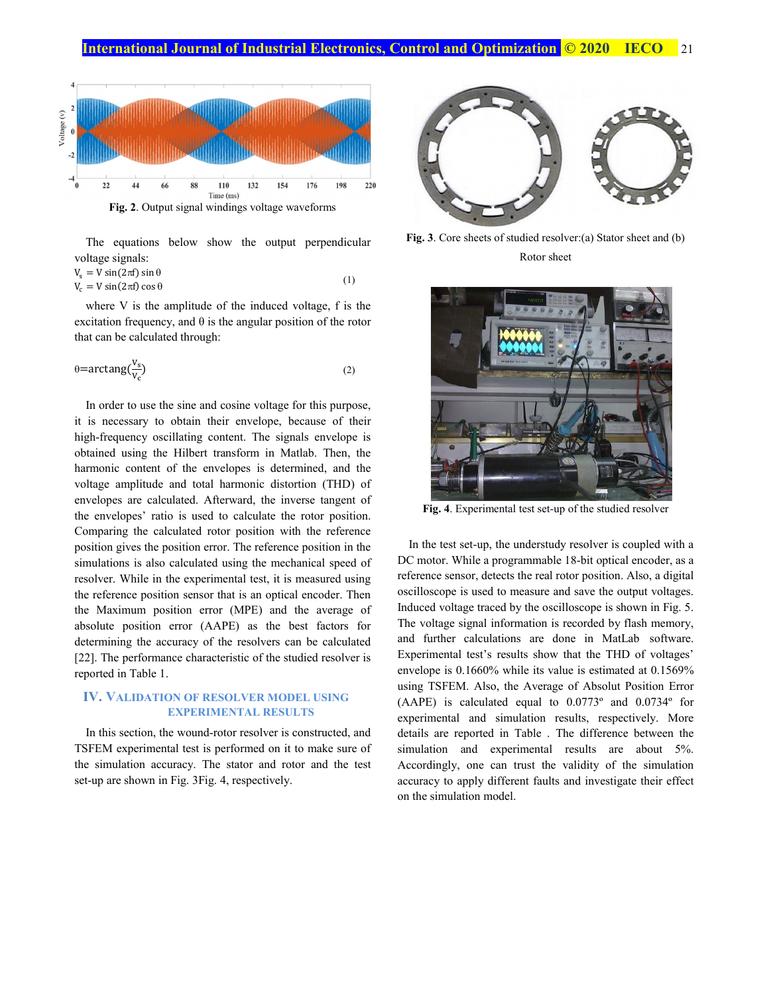

**Fig. 2**. Output signal windings voltage waveforms

The equations below show the output perpendicular voltage signals:

$$
V_s = V \sin(2\pi f) \sin \theta
$$
  
\n
$$
V_c = V \sin(2\pi f) \cos \theta
$$
 (1)

where V is the amplitude of the induced voltage, f is the excitation frequency, and  $\theta$  is the angular position of the rotor that can be calculated through:

$$
\theta = \arctan g \left( \frac{V_s}{V_c} \right) \tag{2}
$$

In order to use the sine and cosine voltage for this purpose, it is necessary to obtain their envelope, because of their high-frequency oscillating content. The signals envelope is obtained using the Hilbert transform in Matlab. Then, the harmonic content of the envelopes is determined, and the voltage amplitude and total harmonic distortion (THD) of envelopes are calculated. Afterward, the inverse tangent of the envelopes' ratio is used to calculate the rotor position. Comparing the calculated rotor position with the reference position gives the position error. The reference position in the simulations is also calculated using the mechanical speed of resolver. While in the experimental test, it is measured using the reference position sensor that is an optical encoder. Then the Maximum position error (MPE) and the average of absolute position error (AAPE) as the best factors for determining the accuracy of the resolvers can be calculated [22]. The performance characteristic of the studied resolver is reported in Table 1.

# **IV. VALIDATION OF RESOLVER MODEL USING EXPERIMENTAL RESULTS**

In this section, the wound-rotor resolver is constructed, and TSFEM experimental test is performed on it to make sure of the simulation accuracy. The stator and rotor and the test set-up are shown in Fig. 3Fig. 4, respectively.



**Fig. 3**. Core sheets of studied resolver:(a) Stator sheet and (b) Rotor sheet



**Fig. 4**. Experimental test set-up of the studied resolver

In the test set-up, the understudy resolver is coupled with a DC motor. While a programmable 18-bit optical encoder, as a reference sensor, detects the real rotor position. Also, a digital oscilloscope is used to measure and save the output voltages. Induced voltage traced by the oscilloscope is shown in Fig. 5. The voltage signal information is recorded by flash memory, and further calculations are done in MatLab software. Experimental test's results show that the THD of voltages' envelope is 0.1660% while its value is estimated at 0.1569% using TSFEM. Also, the Average of Absolut Position Error (AAPE) is calculated equal to 0.0773º and 0.0734º for experimental and simulation results, respectively. More details are reported in Table . The difference between the simulation and experimental results are about 5%. Accordingly, one can trust the validity of the simulation accuracy to apply different faults and investigate their effect on the simulation model.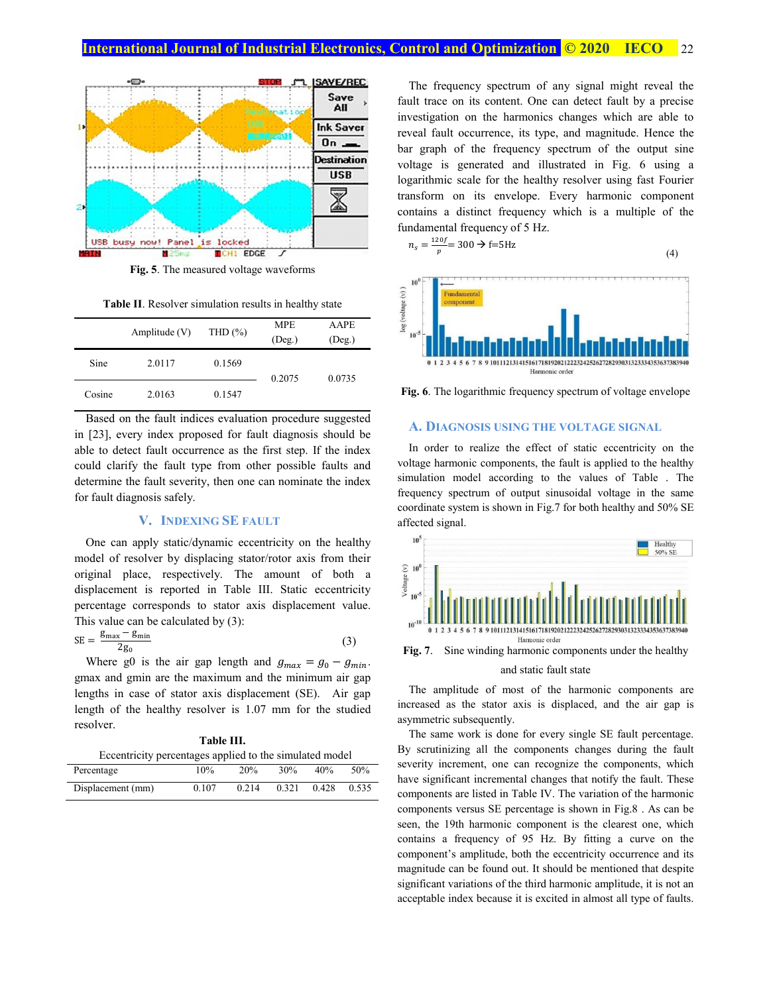# **International Journal of Industrial Electronics, Control and Optimization <b>C** 2020 IECO 22



**Fig. 5**. The measured voltage waveforms

**Table II**. Resolver simulation results in healthy state

|        | Amplitude $(V)$ | THD $(\% )$ | <b>MPE</b><br>$($ Deg. $)$ | <b>AAPE</b><br>$($ Deg. $)$ |
|--------|-----------------|-------------|----------------------------|-----------------------------|
| Sine   | 2.0117          | 0.1569      | 0.2075                     | 0.0735                      |
| Cosine | 2.0163          | 0.1547      |                            |                             |

Based on the fault indices evaluation procedure suggested in [23], every index proposed for fault diagnosis should be able to detect fault occurrence as the first step. If the index could clarify the fault type from other possible faults and determine the fault severity, then one can nominate the index for fault diagnosis safely.

## **V. INDEXING SE FAULT**

One can apply static/dynamic eccentricity on the healthy model of resolver by displacing stator/rotor axis from their original place, respectively. The amount of both a displacement is reported in Table III. Static eccentricity percentage corresponds to stator axis displacement value. This value can be calculated by (3):

$$
SE = \frac{g_{\text{max}} - g_{\text{min}}}{2g_0} \tag{3}
$$

Where g0 is the air gap length and  $g_{max} = g_0 - g_{min}$ . gmax and gmin are the maximum and the minimum air gap lengths in case of stator axis displacement (SE). Air gap length of the healthy resolver is 1.07 mm for the studied resolver.

|  | <b>Table III.</b> |  |  |  |
|--|-------------------|--|--|--|
|  |                   |  |  |  |

| Eccentricity percentages applied to the simulated model |       |       |       |       |       |
|---------------------------------------------------------|-------|-------|-------|-------|-------|
| Percentage                                              | 10%   | 20%   | 30%   | 40%   | 50%   |
| Displacement (mm)                                       | 0.107 | 0.214 | 0.321 | 0.428 | 0.535 |

The frequency spectrum of any signal might reveal the fault trace on its content. One can detect fault by a precise investigation on the harmonics changes which are able to reveal fault occurrence, its type, and magnitude. Hence the bar graph of the frequency spectrum of the output sine voltage is generated and illustrated in Fig. 6 using a logarithmic scale for the healthy resolver using fast Fourier transform on its envelope. Every harmonic component contains a distinct frequency which is a multiple of the fundamental frequency of 5 Hz.

$$
n_s = \frac{120f}{p} = 300 \Rightarrow f = 5Hz
$$
\n<sup>(4)</sup>



**Fig. 6**. The logarithmic frequency spectrum of voltage envelope

## **A. DIAGNOSIS USING THE VOLTAGE SIGNAL**

In order to realize the effect of static eccentricity on the voltage harmonic components, the fault is applied to the healthy simulation model according to the values of Table . The frequency spectrum of output sinusoidal voltage in the same coordinate system is shown in Fig.7 for both healthy and 50% SE affected signal.



**Fig. 7**. Sine winding harmonic components under the healthy

#### and static fault state

The amplitude of most of the harmonic components are increased as the stator axis is displaced, and the air gap is asymmetric subsequently.

The same work is done for every single SE fault percentage. By scrutinizing all the components changes during the fault severity increment, one can recognize the components, which have significant incremental changes that notify the fault. These components are listed in Table IV. The variation of the harmonic components versus SE percentage is shown in Fig.8 . As can be seen, the 19th harmonic component is the clearest one, which contains a frequency of 95 Hz. By fitting a curve on the component's amplitude, both the eccentricity occurrence and its magnitude can be found out. It should be mentioned that despite significant variations of the third harmonic amplitude, it is not an acceptable index because it is excited in almost all type of faults.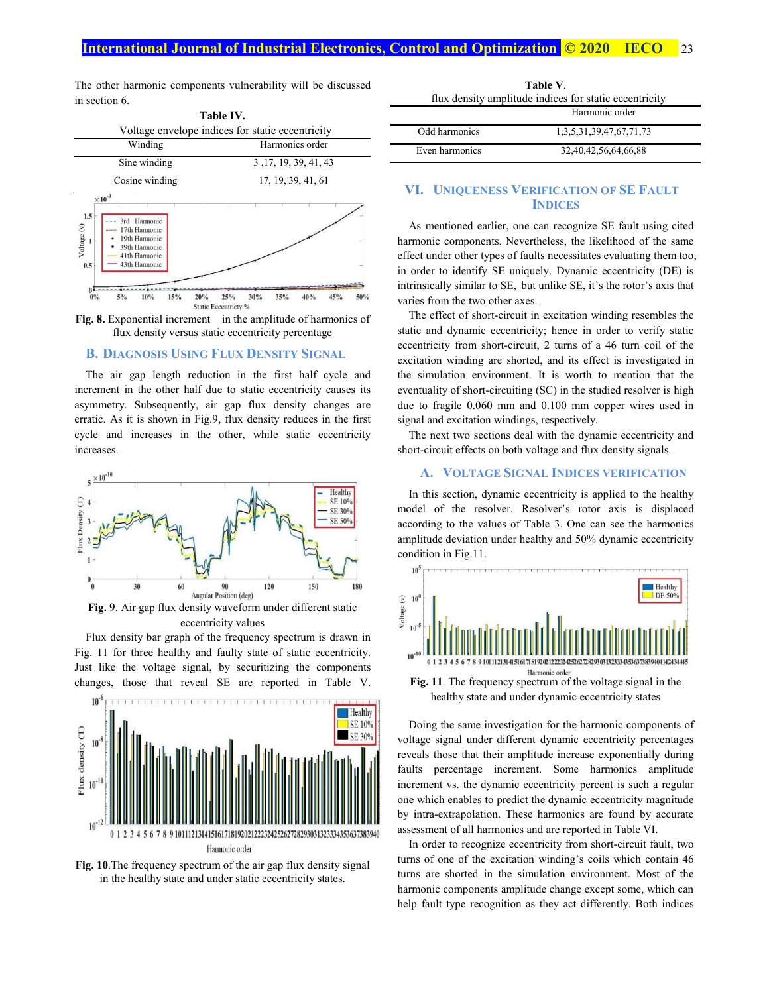# **International Journal of Industrial Electronics, Control and Optimization <b>C** 2020 IECO 23

The other harmonic components vulnerability will be discussed in section 6.



**Fig. 8.** Exponential increment in the amplitude of harmonics of flux density versus static eccentricity percentage

# **B. DIAGNOSIS USING FLUX DENSITY SIGNAL**

The air gap length reduction in the first half cycle and increment in the other half due to static eccentricity causes its asymmetry. Subsequently, air gap flux density changes are erratic. As it is shown in Fig.9, flux density reduces in the first cycle and increases in the other, while static eccentricity increases.



eccentricity values

Flux density bar graph of the frequency spectrum is drawn in Fig. 11 for three healthy and faulty state of static eccentricity. Just like the voltage signal, by securitizing the components changes, those that reveal SE are reported in Table V.



**Fig. 10**.The frequency spectrum of the air gap flux density signal in the healthy state and under static eccentricity states.

| flux density amplitude indices for static eccentricity |                         |  |  |
|--------------------------------------------------------|-------------------------|--|--|
|                                                        | Harmonic order          |  |  |
| Odd harmonics                                          | 1,3,5,31,39,47,67,71,73 |  |  |
| Even harmonics                                         | 32,40,42,56,64,66,88    |  |  |

**Table V**.

## **VI. UNIQUENESS VERIFICATION OF SE FAULT INDICES**

As mentioned earlier, one can recognize SE fault using cited harmonic components. Nevertheless, the likelihood of the same effect under other types of faults necessitates evaluating them too, in order to identify SE uniquely. Dynamic eccentricity (DE) is intrinsically similar to SE, but unlike SE, it's the rotor's axis that varies from the two other axes.

The effect of short-circuit in excitation winding resembles the static and dynamic eccentricity; hence in order to verify static eccentricity from short-circuit, 2 turns of a 46 turn coil of the excitation winding are shorted, and its effect is investigated in the simulation environment. It is worth to mention that the eventuality of short-circuiting (SC) in the studied resolver is high due to fragile 0.060 mm and 0.100 mm copper wires used in signal and excitation windings, respectively.

The next two sections deal with the dynamic eccentricity and short-circuit effects on both voltage and flux density signals.

## **A. VOLTAGE SIGNAL INDICES VERIFICATION**

In this section, dynamic eccentricity is applied to the healthy model of the resolver. Resolver's rotor axis is displaced according to the values of Table 3. One can see the harmonics amplitude deviation under healthy and 50% dynamic eccentricity condition in Fig.11.



**Fig. 11**. The frequency spectrum of the voltage signal in the healthy state and under dynamic eccentricity states

Doing the same investigation for the harmonic components of voltage signal under different dynamic eccentricity percentages reveals those that their amplitude increase exponentially during faults percentage increment. Some harmonics amplitude increment vs. the dynamic eccentricity percent is such a regular one which enables to predict the dynamic eccentricity magnitude by intra-extrapolation. These harmonics are found by accurate assessment of all harmonics and are reported in Table VI.

In order to recognize eccentricity from short-circuit fault, two turns of one of the excitation winding's coils which contain 46 turns are shorted in the simulation environment. Most of the harmonic components amplitude change except some, which can help fault type recognition as they act differently. Both indices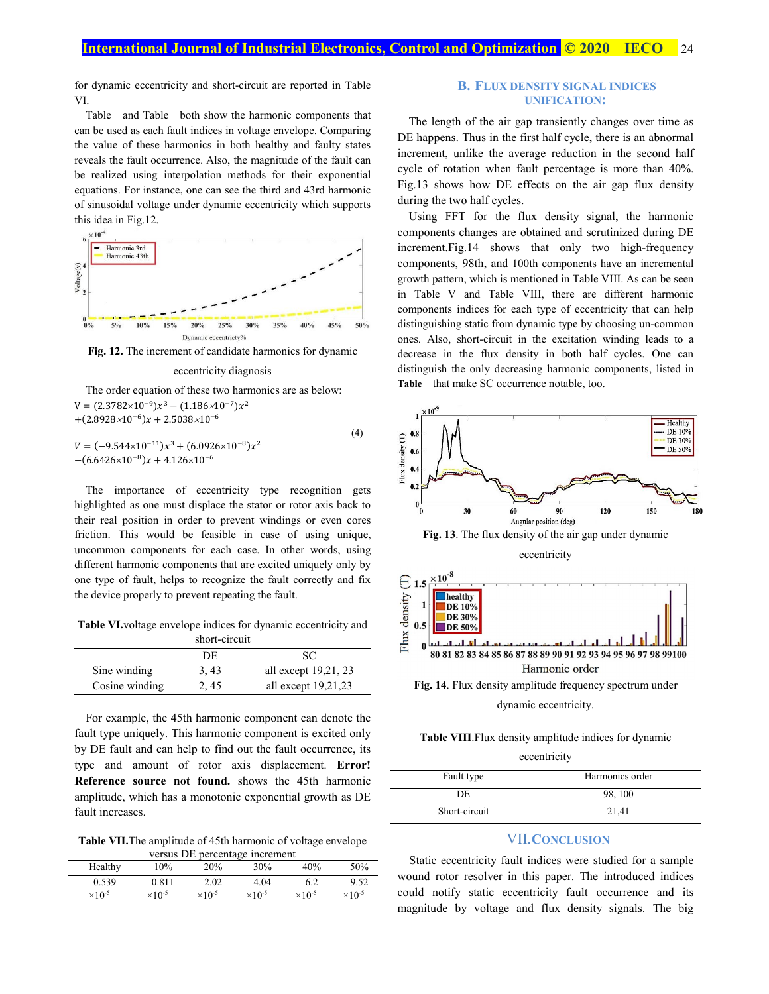for dynamic eccentricity and short-circuit are reported in Table VI.

Table and Table both show the harmonic components that can be used as each fault indices in voltage envelope. Comparing the value of these harmonics in both healthy and faulty states reveals the fault occurrence. Also, the magnitude of the fault can be realized using interpolation methods for their exponential equations. For instance, one can see the third and 43rd harmonic of sinusoidal voltage under dynamic eccentricity which supports this idea in Fig.12.



**Fig. 12.** The increment of candidate harmonics for dynamic



The order equation of these two harmonics are as below:  $V = (2.3782 \times 10^{-9}) x^3 - (1.186 \times 10^{-7}) x^2$  $+(2.8928\times10^{-6})x + 2.5038\times10^{-6}$ 

 $V = (-9.544 \times 10^{-11}) x^3 + (6.0926 \times 10^{-8}) x^2$  $-(6.6426\times10^{-8})x + 4.126\times10^{-6}$ (4)

The importance of eccentricity type recognition gets highlighted as one must displace the stator or rotor axis back to their real position in order to prevent windings or even cores friction. This would be feasible in case of using unique, uncommon components for each case. In other words, using different harmonic components that are excited uniquely only by one type of fault, helps to recognize the fault correctly and fix the device properly to prevent repeating the fault.

**Table VI.**voltage envelope indices for dynamic eccentricity and short-circuit

| ənərcən çur    |       |                       |  |  |
|----------------|-------|-----------------------|--|--|
|                | DE    | SC.                   |  |  |
| Sine winding   | 3, 43 | all except 19,21, 23  |  |  |
| Cosine winding | 2, 45 | all except $19,21,23$ |  |  |

For example, the 45th harmonic component can denote the fault type uniquely. This harmonic component is excited only by DE fault and can help to find out the fault occurrence, its type and amount of rotor axis displacement. **Error! Reference source not found.** shows the 45th harmonic amplitude, which has a monotonic exponential growth as DE fault increases.

**Table VII.**The amplitude of 45th harmonic of voltage envelope versus DE percentage increment

| versus DE percentage merchnem |                           |                           |                           |                           |                           |  |
|-------------------------------|---------------------------|---------------------------|---------------------------|---------------------------|---------------------------|--|
| Healthy                       | 10%                       | 20%                       | 30%                       | 40%                       | 50%                       |  |
| 0.539                         | 0.811                     | 2.02                      | 4.04                      | 6.2                       | 9.52                      |  |
| $\times$ 10 <sup>-5</sup>     | $\times$ 10 <sup>-5</sup> | $\times$ 10 <sup>-5</sup> | $\times$ 10 <sup>-5</sup> | $\times$ 10 <sup>-5</sup> | $\times$ 10 <sup>-5</sup> |  |

## **B. FLUX DENSITY SIGNAL INDICES UNIFICATION:**

The length of the air gap transiently changes over time as DE happens. Thus in the first half cycle, there is an abnormal increment, unlike the average reduction in the second half cycle of rotation when fault percentage is more than 40%. Fig.13 shows how DE effects on the air gap flux density during the two half cycles.

Using FFT for the flux density signal, the harmonic components changes are obtained and scrutinized during DE increment.Fig.14 shows that only two high-frequency components, 98th, and 100th components have an incremental growth pattern, which is mentioned in Table VIII. As can be seen in Table V and Table VIII, there are different harmonic components indices for each type of eccentricity that can help distinguishing static from dynamic type by choosing un-common ones. Also, short-circuit in the excitation winding leads to a decrease in the flux density in both half cycles. One can distinguish the only decreasing harmonic components, listed in **Table** that make SC occurrence notable, too.





## **Table VIII**.Flux density amplitude indices for dynamic

eccentricity

| Fault type    | Harmonics order |  |
|---------------|-----------------|--|
| DE            | 98, 100         |  |
| Short-circuit | 21,41           |  |

# VII.**CONCLUSION**

Static eccentricity fault indices were studied for a sample wound rotor resolver in this paper. The introduced indices could notify static eccentricity fault occurrence and its magnitude by voltage and flux density signals. The big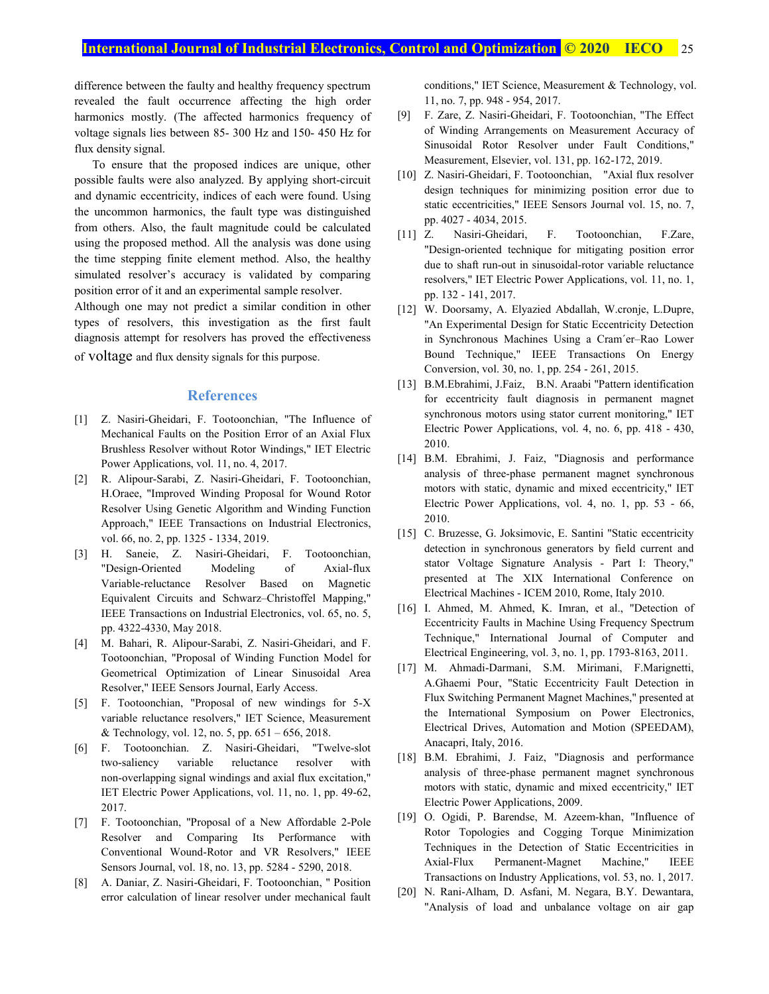difference between the faulty and healthy frequency spectrum revealed the fault occurrence affecting the high order harmonics mostly. (The affected harmonics frequency of voltage signals lies between 85- 300 Hz and 150- 450 Hz for flux density signal.

 To ensure that the proposed indices are unique, other possible faults were also analyzed. By applying short-circuit and dynamic eccentricity, indices of each were found. Using the uncommon harmonics, the fault type was distinguished from others. Also, the fault magnitude could be calculated using the proposed method. All the analysis was done using the time stepping finite element method. Also, the healthy simulated resolver's accuracy is validated by comparing position error of it and an experimental sample resolver.

Although one may not predict a similar condition in other types of resolvers, this investigation as the first fault diagnosis attempt for resolvers has proved the effectiveness of voltage and flux density signals for this purpose.

## **References**

- [1] Z. Nasiri-Gheidari, F. Tootoonchian, "The Influence of Mechanical Faults on the Position Error of an Axial Flux Brushless Resolver without Rotor Windings," IET Electric Power Applications, vol. 11, no. 4, 2017.
- [2] R. Alipour-Sarabi, Z. Nasiri-Gheidari, F. Tootoonchian, H.Oraee, "Improved Winding Proposal for Wound Rotor Resolver Using Genetic Algorithm and Winding Function Approach," IEEE Transactions on Industrial Electronics, vol. 66, no. 2, pp. 1325 - 1334, 2019.
- [3] H. Saneie, Z. Nasiri-Gheidari, F. Tootoonchian, "Design-Oriented Modeling of Axial-flux Variable-reluctance Resolver Based on Magnetic Equivalent Circuits and Schwarz–Christoffel Mapping," IEEE Transactions on Industrial Electronics, vol. 65, no. 5, pp. 4322-4330, May 2018.
- [4] M. Bahari, R. Alipour-Sarabi, Z. Nasiri-Gheidari, and F. Tootoonchian, "Proposal of Winding Function Model for Geometrical Optimization of Linear Sinusoidal Area Resolver," IEEE Sensors Journal, Early Access.
- [5] F. Tootoonchian, "Proposal of new windings for 5-X variable reluctance resolvers," IET Science, Measurement & Technology, vol. 12, no. 5, pp.  $651 - 656$ , 2018.
- [6] F. Tootoonchian. Z. Nasiri-Gheidari, "Twelve-slot two-saliency variable reluctance resolver with non-overlapping signal windings and axial flux excitation," IET Electric Power Applications, vol. 11, no. 1, pp. 49-62, 2017.
- [7] F. Tootoonchian, "Proposal of a New Affordable 2-Pole Resolver and Comparing Its Performance with Conventional Wound-Rotor and VR Resolvers," IEEE Sensors Journal, vol. 18, no. 13, pp. 5284 - 5290, 2018.
- [8] A. Daniar, Z. Nasiri-Gheidari, F. Tootoonchian, " Position error calculation of linear resolver under mechanical fault

conditions," IET Science, Measurement & Technology, vol. 11, no. 7, pp. 948 - 954, 2017.

- [9] F. Zare, Z. Nasiri-Gheidari, F. Tootoonchian, "The Effect of Winding Arrangements on Measurement Accuracy of Sinusoidal Rotor Resolver under Fault Conditions," Measurement, Elsevier, vol. 131, pp. 162-172, 2019.
- [10] Z. Nasiri-Gheidari, F. Tootoonchian, "Axial flux resolver design techniques for minimizing position error due to static eccentricities," IEEE Sensors Journal vol. 15, no. 7, pp. 4027 - 4034, 2015.
- [11] Z. Nasiri-Gheidari, F. Tootoonchian, F.Zare, "Design-oriented technique for mitigating position error due to shaft run-out in sinusoidal-rotor variable reluctance resolvers," IET Electric Power Applications, vol. 11, no. 1, pp. 132 - 141, 2017.
- [12] W. Doorsamy, A. Elyazied Abdallah, W.cronje, L.Dupre, "An Experimental Design for Static Eccentricity Detection in Synchronous Machines Using a Cram´er–Rao Lower Bound Technique," IEEE Transactions On Energy Conversion, vol. 30, no. 1, pp. 254 - 261, 2015.
- [13] B.M.Ebrahimi, J.Faiz, B.N. Araabi "Pattern identification for eccentricity fault diagnosis in permanent magnet synchronous motors using stator current monitoring," IET Electric Power Applications, vol. 4, no. 6, pp. 418 - 430, 2010.
- [14] B.M. Ebrahimi, J. Faiz, "Diagnosis and performance analysis of three-phase permanent magnet synchronous motors with static, dynamic and mixed eccentricity," IET Electric Power Applications, vol. 4, no. 1, pp. 53 - 66, 2010.
- [15] C. Bruzesse, G. Joksimovic, E. Santini "Static eccentricity detection in synchronous generators by field current and stator Voltage Signature Analysis - Part I: Theory," presented at The XIX International Conference on Electrical Machines - ICEM 2010, Rome, Italy 2010.
- [16] I. Ahmed, M. Ahmed, K. Imran, et al., "Detection of Eccentricity Faults in Machine Using Frequency Spectrum Technique," International Journal of Computer and Electrical Engineering, vol. 3, no. 1, pp. 1793-8163, 2011.
- [17] M. Ahmadi-Darmani, S.M. Mirimani, F.Marignetti, A.Ghaemi Pour, "Static Eccentricity Fault Detection in Flux Switching Permanent Magnet Machines," presented at the International Symposium on Power Electronics, Electrical Drives, Automation and Motion (SPEEDAM), Anacapri, Italy, 2016.
- [18] B.M. Ebrahimi, J. Faiz, "Diagnosis and performance analysis of three-phase permanent magnet synchronous motors with static, dynamic and mixed eccentricity," IET Electric Power Applications, 2009.
- [19] O. Ogidi, P. Barendse, M. Azeem-khan, "Influence of Rotor Topologies and Cogging Torque Minimization Techniques in the Detection of Static Eccentricities in Axial-Flux Permanent-Magnet Machine," IEEE Transactions on Industry Applications, vol. 53, no. 1, 2017.
- [20] N. Rani-Alham, D. Asfani, M. Negara, B.Y. Dewantara, "Analysis of load and unbalance voltage on air gap